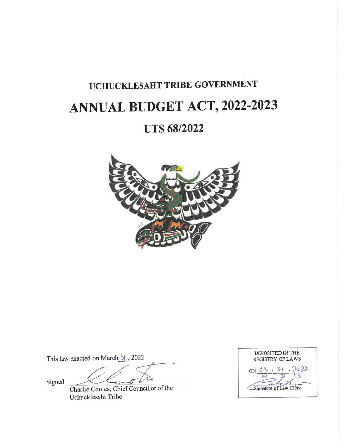# UCHUCKLESAHT TRIBE GOVERNMENT ANNUAL BUDGET ACT, 2022-2023 UTS 68/2022



This law enacted on March $\geq$ , 2022

Signed

Charlie Cootes, Chief Councillor of the Uchucklesaht Tribe

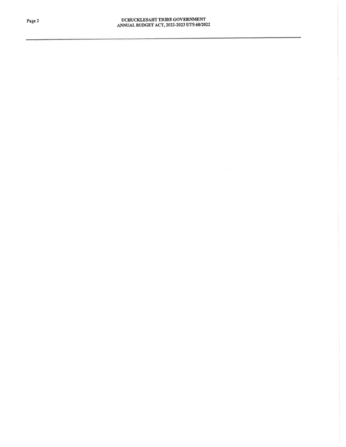$\sim$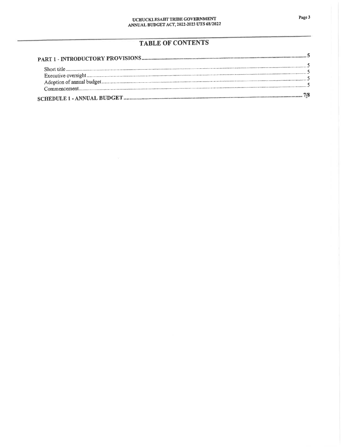## TABLE OF CONTENTS

| $Common concentration 5$ |  |
|--------------------------|--|
|                          |  |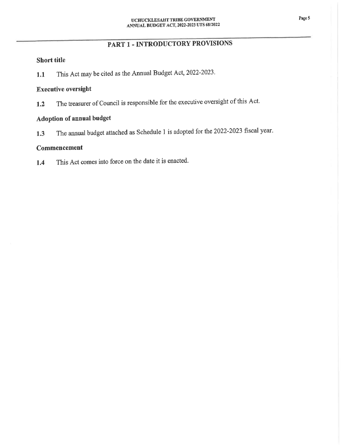## PART 1 - INTRODUCTORY PROVISIONS

#### Short title

1.1 This Act may be cited as the Annual Budget Act, 2022-2023.

#### Executive oversight

1.2 The treasurer of Council is responsible for the executive oversight of this Act.

## Adoption of annual budget

1.3 The annual budget attached as Schedule 1 is adopted for the 2022-2023 fiscal year.

#### **Commencement**

1.4 This Act comes into force on the date it is enacted.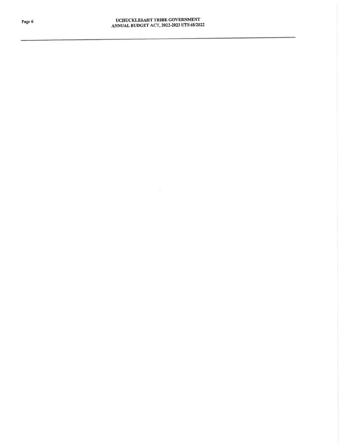$\langle \bar{q} \rangle$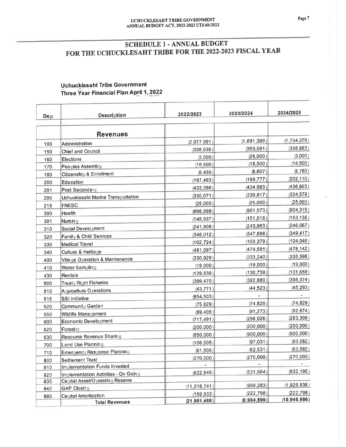## SCHEDULE 1 - ANNUAL BUDGET FOR THE UCHUCKLESAHT TRIBE FOR THE 2022-2023 FISCAL YEAR

### **Uchucklesaht Tribe Government** Three Year Financial Plan April 1, 2022

| Dep        | <b>Description</b>                   | 2022/2023      | 2023/2024     | 2024/2025      |
|------------|--------------------------------------|----------------|---------------|----------------|
|            |                                      |                |               |                |
|            | <b>Revenues</b>                      |                |               |                |
| 100        | Administration                       | (2,077,991)    | (1,691,399)   | (1, 734, 379)  |
| 150        | Chief and Council                    | (338, 635)     | (353, 591)    | (358, 683)     |
| 160        | Elections                            | (3,000)        | (25,000)      | (3,000)        |
| 170        | Peoples Assembly                     | (18, 500)      | (18,500)      | (18, 500)      |
| 180        | Citizenship & Enrollment             | (8, 439)       | (8,607)       | (8,780)        |
| 200        | Education                            | (197, 493)     | (199, 777)    | (202, 110)     |
| 201        | Post Secondary                       | (433, 396)     | (434, 983)    | (436, 603)     |
| 205        | Uchucklesaht Marine Transportation   | (330, 071)     | (330, 817)    | (334, 579)     |
| 215        | <b>FNESC</b>                         | (25,000)       | (25,000)      | (25,000)       |
| 300        | Health                               | (898, 899)     | (901, 573)    | (904, 315)     |
| 301        | Nursing                              | (148, 937)     | (151, 016)    | (153, 136)     |
| 310        | Social Development                   | (241, 908)     | (243, 963)    | (246, 067)     |
| 320        | Family & Child Services              | (346.012)      | (347, 696)    | (349.417)      |
| 330        | <b>Medical Travel</b>                | (102, 724)     | (103, 379)    | (104, 046)     |
| 340        | Culture & Heritage                   | (481, 097)     | (474, 581)    | (478, 142)     |
| 400        | Village Operation & Maintenance      | (330, 929)     | (333, 240)    | (335, 598)     |
| 410        | Water Sampling                       | (19,000)       | (19,000)      | (19,000)       |
| 430        | Rentals                              | (129, 839)     | 130,739       | (131, 659)     |
| 500        | <b>Treaty Right Fisheries</b>        | (399, 470)     | (392, 880)    | (396, 374)     |
| 510        | <b>Aquiculture Operations</b>        | (43, 771)      | (44, 523)     | (45, 293)      |
|            | SSI Initiative                       | (854, 503)     |               |                |
| 515<br>520 | Community Garden                     | (75, 829)      | (74, 829)     | (74, 829)      |
|            | Wildlife Management                  | (89, 405)      | (91, 273)     | (92, 674)      |
| 550<br>600 | Economic Development                 | (717, 491)     | (296, 026)    | (283, 308)     |
| 620        | Forestry.                            | (200, 000)     | (200, 000)    | (200, 000)     |
| 630        | Resource Revenue Sharing             | (850,000)      | (900, 000)    | (900, 000)     |
|            | Land Use Planning                    | (106, 005)     | (97, 031)     | (93, 082)      |
| 700<br>710 | <b>Emergency Response Planning</b>   | (61, 505)      | (62, 531)     | (63, 582)      |
|            | Settlement Trust                     | (270,000)      | (270, 000)    | (270,000)      |
| 800<br>810 | Implementation Funds Invested        |                |               |                |
| 820        | Implementation Activities - On Going | (622, 945)     | 531,564)      | (532, 195)     |
| 830        | Capital Asset/Operating Reserve      |                |               |                |
| 840        | <b>GAP Closing</b>                   | (11, 318, 741) | (988, 283)    | 1,929,838)     |
| 990        | Capital Amortization                 | (159, 933)     | (222, 798)    | (222, 798)     |
|            | <b>Total Revenues</b>                | (21, 901, 468) | (9, 964, 599) | (10, 946, 986) |